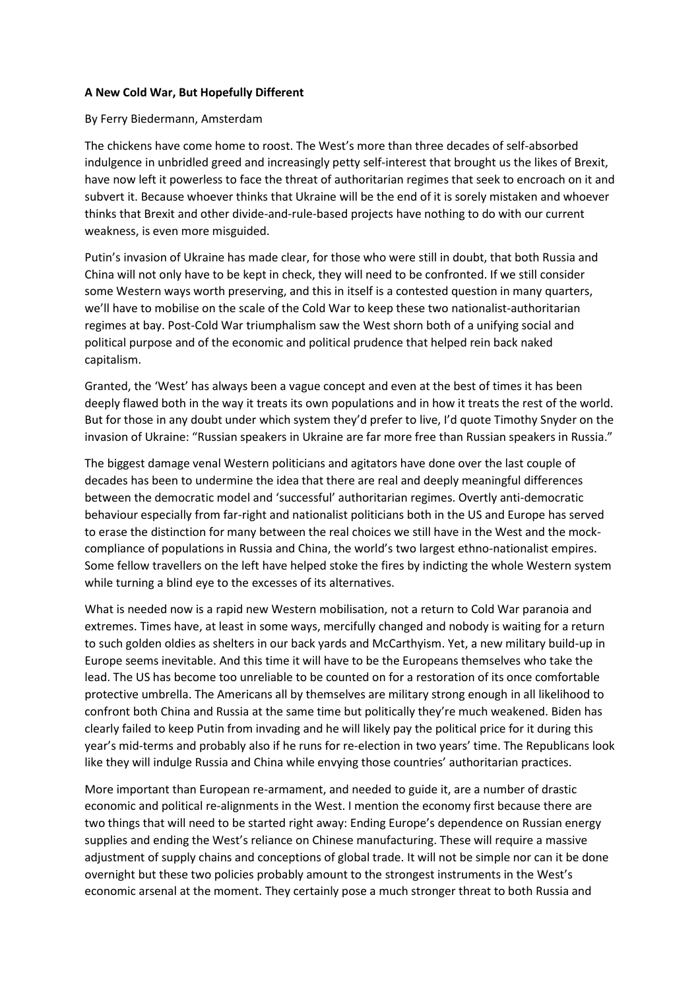## **A New Cold War, But Hopefully Different**

## By Ferry Biedermann, Amsterdam

The chickens have come home to roost. The West's more than three decades of self-absorbed indulgence in unbridled greed and increasingly petty self-interest that brought us the likes of Brexit, have now left it powerless to face the threat of authoritarian regimes that seek to encroach on it and subvert it. Because whoever thinks that Ukraine will be the end of it is sorely mistaken and whoever thinks that Brexit and other divide-and-rule-based projects have nothing to do with our current weakness, is even more misguided.

Putin's invasion of Ukraine has made clear, for those who were still in doubt, that both Russia and China will not only have to be kept in check, they will need to be confronted. If we still consider some Western ways worth preserving, and this in itself is a contested question in many quarters, we'll have to mobilise on the scale of the Cold War to keep these two nationalist-authoritarian regimes at bay. Post-Cold War triumphalism saw the West shorn both of a unifying social and political purpose and of the economic and political prudence that helped rein back naked capitalism.

Granted, the 'West' has always been a vague concept and even at the best of times it has been deeply flawed both in the way it treats its own populations and in how it treats the rest of the world. But for those in any doubt under which system they'd prefer to live, I'd quote Timothy Snyder on the invasion of Ukraine: "Russian speakers in Ukraine are far more free than Russian speakers in Russia."

The biggest damage venal Western politicians and agitators have done over the last couple of decades has been to undermine the idea that there are real and deeply meaningful differences between the democratic model and 'successful' authoritarian regimes. Overtly anti-democratic behaviour especially from far-right and nationalist politicians both in the US and Europe has served to erase the distinction for many between the real choices we still have in the West and the mockcompliance of populations in Russia and China, the world's two largest ethno-nationalist empires. Some fellow travellers on the left have helped stoke the fires by indicting the whole Western system while turning a blind eye to the excesses of its alternatives.

What is needed now is a rapid new Western mobilisation, not a return to Cold War paranoia and extremes. Times have, at least in some ways, mercifully changed and nobody is waiting for a return to such golden oldies as shelters in our back yards and McCarthyism. Yet, a new military build-up in Europe seems inevitable. And this time it will have to be the Europeans themselves who take the lead. The US has become too unreliable to be counted on for a restoration of its once comfortable protective umbrella. The Americans all by themselves are military strong enough in all likelihood to confront both China and Russia at the same time but politically they're much weakened. Biden has clearly failed to keep Putin from invading and he will likely pay the political price for it during this year's mid-terms and probably also if he runs for re-election in two years' time. The Republicans look like they will indulge Russia and China while envying those countries' authoritarian practices.

More important than European re-armament, and needed to guide it, are a number of drastic economic and political re-alignments in the West. I mention the economy first because there are two things that will need to be started right away: Ending Europe's dependence on Russian energy supplies and ending the West's reliance on Chinese manufacturing. These will require a massive adjustment of supply chains and conceptions of global trade. It will not be simple nor can it be done overnight but these two policies probably amount to the strongest instruments in the West's economic arsenal at the moment. They certainly pose a much stronger threat to both Russia and